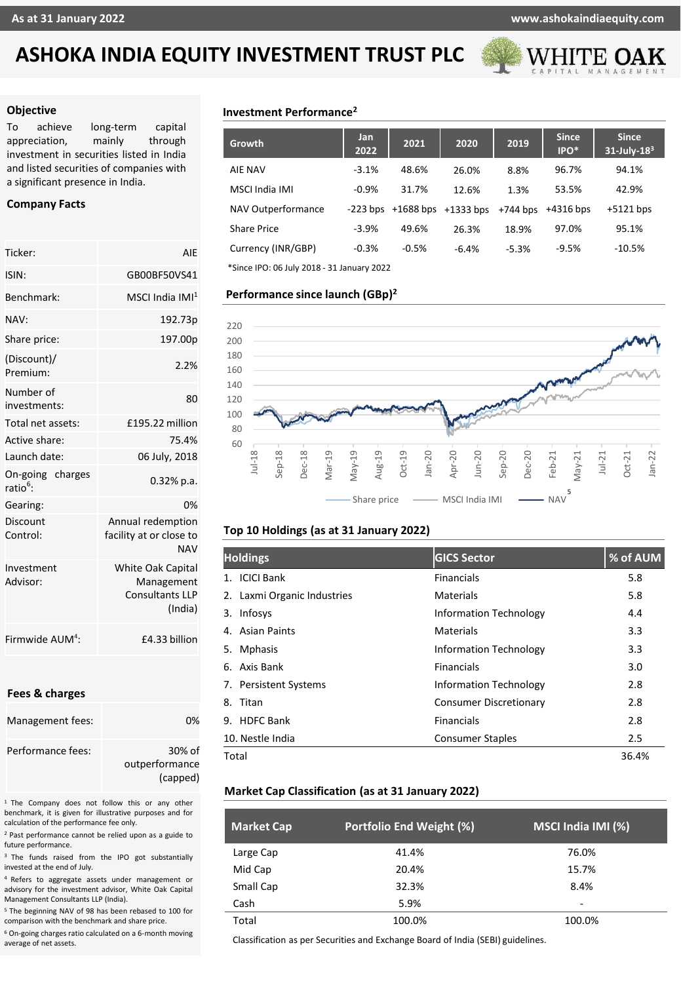# **ASHOKA INDIA EQUITY INVESTMENT TRUST PLC**



#### **Objective**

To achieve long-term capital appreciation, mainly through investment in securities listed in India and listed securities of companies with a significant presence in India.

## **Company Facts**

| Ticker:                                 | AIF                                                                         |  |  |  |
|-----------------------------------------|-----------------------------------------------------------------------------|--|--|--|
| ISIN:                                   | GB00BF50VS41                                                                |  |  |  |
| <b>Benchmark:</b>                       | MSCI India IMI $^1$                                                         |  |  |  |
| NAV:                                    | 192.73p                                                                     |  |  |  |
| Share price:                            | 197.00p                                                                     |  |  |  |
| (Discount)/<br>Premium:                 | 2.2%                                                                        |  |  |  |
| Number of<br>investments:               | 80                                                                          |  |  |  |
| Total net assets:                       | £195.22 million                                                             |  |  |  |
| Active share:                           | 75.4%                                                                       |  |  |  |
| Launch date:                            | 06 July, 2018                                                               |  |  |  |
| On-going charges<br>ratio <sup>6.</sup> | 0.32% p.a.                                                                  |  |  |  |
| Gearing:                                | 0%                                                                          |  |  |  |
| Discount<br>Control:                    | Annual redemption<br>facility at or close to<br><b>NAV</b>                  |  |  |  |
| Investment<br>Advisor:                  | <b>White Oak Capital</b><br>Management<br><b>Consultants LLP</b><br>(India) |  |  |  |
| Firmwide AUM <sup>4</sup> :             | £4.33 billion                                                               |  |  |  |

#### **Fees & charges**

| Management fees:  | በ%             |
|-------------------|----------------|
| Performance fees: | 30% of         |
|                   | outperformance |
|                   | (capped)       |

<sup>1</sup> The Company does not follow this or any other benchmark, it is given for illustrative purposes and for calculation of the performance fee only.

<sup>2</sup> Past performance cannot be relied upon as a guide to future performance.

<sup>3</sup> The funds raised from the IPO got substantially invested at the end of July.

<sup>4</sup> Refers to aggregate assets under management or advisory for the investment advisor, White Oak Capital Management Consultants LLP (India).

<sup>5</sup> The beginning NAV of 98 has been rebased to 100 for comparison with the benchmark and share price.

<sup>6</sup> On-going charges ratio calculated on a 6-month moving average of net assets.

# **Investment Performance<sup>2</sup>**

| <b>Growth</b>                              | Jan<br>2022 | 2021                               | 2020    | 2019       | <b>Since</b><br>IPO* | <b>Since</b><br>$31$ -July- $183$ |
|--------------------------------------------|-------------|------------------------------------|---------|------------|----------------------|-----------------------------------|
| <b>AIE NAV</b>                             | $-3.1%$     | 48.6%                              | 26.0%   | 8.8%       | 96.7%                | 94.1%                             |
| MSCI India IMI                             | $-0.9%$     | 31.7%                              | 12.6%   | 1.3%       | 53.5%                | 42.9%                             |
| NAV Outperformance                         |             | $-223$ bps $+1688$ bps $+1333$ bps |         | $+744$ bps | $+4316$ bps          | $+5121$ bps                       |
| Share Price                                | $-3.9%$     | 49.6%                              | 26.3%   | 18.9%      | 97.0%                | 95.1%                             |
| Currency (INR/GBP)                         | $-0.3%$     | $-0.5%$                            | $-6.4%$ | $-5.3%$    | $-9.5%$              | $-10.5%$                          |
| *Since IPO: 06 July 2018 - 31 January 2022 |             |                                    |         |            |                      |                                   |

**Performance since launch (GBp) 2**



## **Top 10 Holdings (as at 31 January 2022)**

| <b>Holdings</b>             | <b>GICS Sector</b>            | % of AUM |
|-----------------------------|-------------------------------|----------|
| 1. ICICI Bank               | <b>Financials</b>             | 5.8      |
| 2. Laxmi Organic Industries | Materials                     | 5.8      |
| Infosys<br>3.               | <b>Information Technology</b> | 4.4      |
| <b>Asian Paints</b><br>4.   | <b>Materials</b>              | 3.3      |
| <b>Mphasis</b><br>5.        | <b>Information Technology</b> | 3.3      |
| Axis Bank<br>6.             | <b>Financials</b>             | 3.0      |
| 7. Persistent Systems       | <b>Information Technology</b> | 2.8      |
| Titan<br>8.                 | <b>Consumer Discretionary</b> | 2.8      |
| 9. HDFC Bank                | Financials                    | 2.8      |
| 10. Nestle India            | <b>Consumer Staples</b>       | 2.5      |
| Total                       |                               | 36.4%    |

## **Market Cap Classification (as at 31 January 2022)**

| <b>Market Cap</b> | Portfolio End Weight (%) | MSCI India IMI (%) |
|-------------------|--------------------------|--------------------|
| Large Cap         | 41.4%                    | 76.0%              |
| Mid Cap           | 20.4%                    | 15.7%              |
| Small Cap         | 32.3%                    | 8.4%               |
| Cash              | 5.9%                     | ۰                  |
| Total             | 100.0%                   | 100.0%             |

Classification as per Securities and Exchange Board of India (SEBI) guidelines.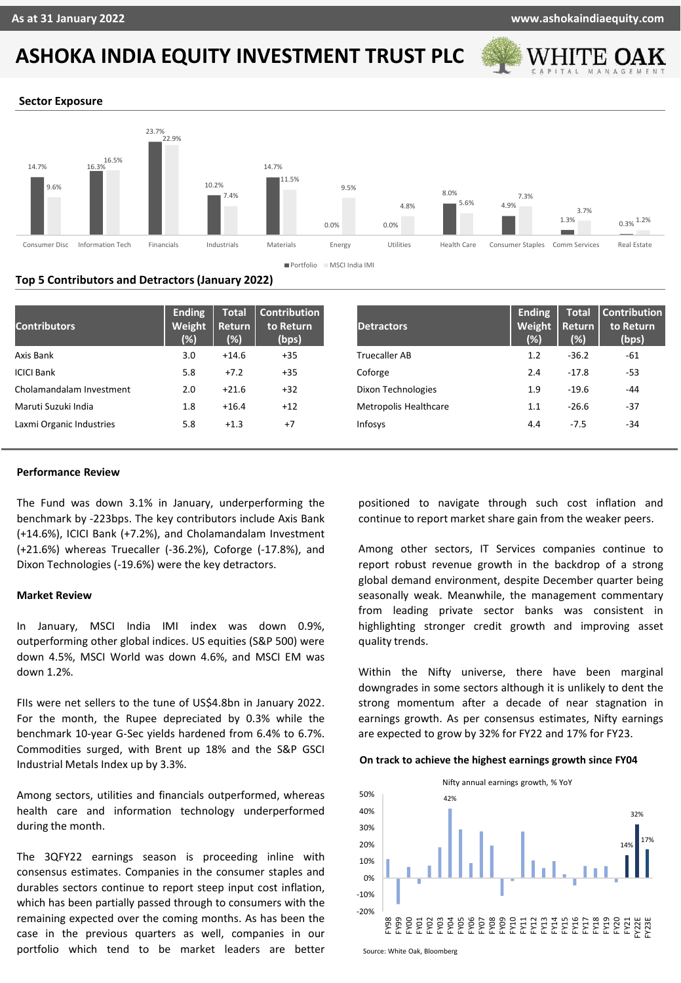# **ASHOKA INDIA EQUITY INVESTMENT TRUST PLC**



#### **Sector Exposure**



#### **Top 5 Contributors and Detractors (January 2022)**

| <b>Contributors</b>      | Ending<br>Weight<br>(%) | <b>Total</b><br><b>Return</b><br>(%) | <b>Contribution</b><br>to Return<br>(bps) | <b>Detractors</b>            | <b>Ending</b><br>Weight<br>(% ) | <b>Total</b><br>Return<br>(%) | Contribution<br>to Return<br>(bps) |
|--------------------------|-------------------------|--------------------------------------|-------------------------------------------|------------------------------|---------------------------------|-------------------------------|------------------------------------|
| Axis Bank                | 3.0                     | $+14.6$                              | $+35$                                     | <b>Truecaller AB</b>         | 1.2                             | $-36.2$                       | -61                                |
| <b>ICICI Bank</b>        | 5.8                     | $+7.2$                               | $+35$                                     | Coforge                      | 2.4                             | $-17.8$                       | $-53$                              |
| Cholamandalam Investment | 2.0                     | $+21.6$                              | $+32$                                     | Dixon Technologies           | 1.9                             | $-19.6$                       | -44                                |
| Maruti Suzuki India      | 1.8                     | $+16.4$                              | $+12$                                     | <b>Metropolis Healthcare</b> | 1.1                             | $-26.6$                       | $-37$                              |
| Laxmi Organic Industries | 5.8                     | $+1.3$                               | $+7$                                      | Infosys                      | 4.4                             | $-7.5$                        | $-34$                              |

#### **Performance Review**

The Fund was down 3.1% in January, underperforming the benchmark by -223bps. The key contributors include Axis Bank (+14.6%), ICICI Bank (+7.2%), and Cholamandalam Investment (+21.6%) whereas Truecaller (-36.2%), Coforge (-17.8%), and Dixon Technologies (-19.6%) were the key detractors.

#### **Market Review**

In January, MSCI India IMI index was down 0.9%, outperforming other global indices. US equities (S&P 500) were down 4.5%, MSCI World was down 4.6%, and MSCI EM was down 1.2%.

FIIs were net sellers to the tune of US\$4.8bn in January 2022. For the month, the Rupee depreciated by 0.3% while the benchmark 10-year G-Sec yields hardened from 6.4% to 6.7%. Commodities surged, with Brent up 18% and the S&P GSCI Industrial Metals Index up by 3.3%.

Among sectors, utilities and financials outperformed, whereas health care and information technology underperformed during the month.

The 3QFY22 earnings season is proceeding inline with consensus estimates. Companies in the consumer staples and durables sectors continue to report steep input cost inflation, which has been partially passed through to consumers with the remaining expected over the coming months. As has been the case in the previous quarters as well, companies in our portfolio which tend to be market leaders are better

positioned to navigate through such cost inflation and continue to report market share gain from the weaker peers.

Among other sectors, IT Services companies continue to report robust revenue growth in the backdrop of a strong global demand environment, despite December quarter being seasonally weak. Meanwhile, the management commentary from leading private sector banks was consistent in highlighting stronger credit growth and improving asset quality trends.

Within the Nifty universe, there have been marginal downgrades in some sectors although it is unlikely to dent the strong momentum after a decade of near stagnation in earnings growth. As per consensus estimates, Nifty earnings are expected to grow by 32% for FY22 and 17% for FY23.

#### **On track to achieve the highest earnings growth since FY04**